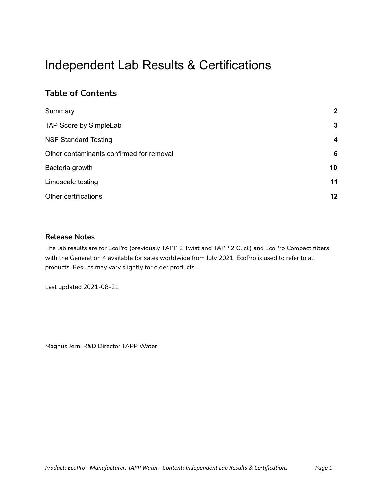## Independent Lab Results & Certifications

### **Table of Contents**

| Summary                                  | $\overline{2}$          |
|------------------------------------------|-------------------------|
| TAP Score by SimpleLab                   | 3                       |
| <b>NSF Standard Testing</b>              | $\overline{\mathbf{4}}$ |
| Other contaminants confirmed for removal | 6                       |
| Bacteria growth                          | 10                      |
| Limescale testing                        | 11                      |
| Other certifications                     | 12                      |

#### **Release Notes**

The lab results are for EcoPro (previously TAPP 2 Twist and TAPP 2 Click) and EcoPro Compact filters with the Generation 4 available for sales worldwide from July 2021. EcoPro is used to refer to all products. Results may vary slightly for older products.

Last updated 2021-08-21

Magnus Jern, R&D Director TAPP Water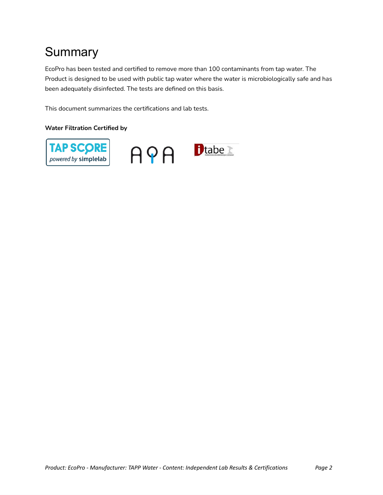# **Summary**

EcoPro has been tested and certified to remove more than 100 contaminants from tap water. The Product is designed to be used with public tap water where the water is microbiologically safe and has been adequately disinfected. The tests are defined on this basis.

This document summarizes the certifications and lab tests.

#### **Water Filtration Certified by**

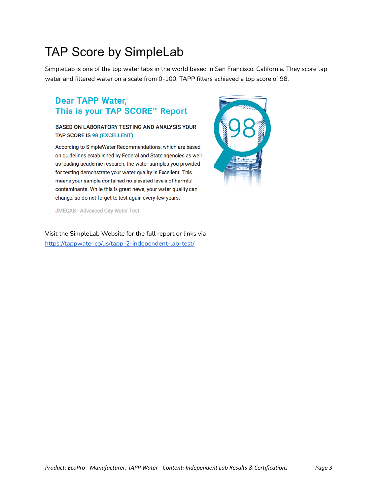## TAP Score by SimpleLab

SimpleLab is one of the top water labs in the world based in San Francisco, California. They score tap water and filtered water on a scale from 0-100. TAPP filters achieved a top score of 98.

### **Dear TAPP Water,** This is your TAP SCORE™ Report

#### BASED ON LABORATORY TESTING AND ANALYSIS YOUR TAP SCORE IS 98 (EXCELLENT)

According to SimpleWater Recommendations, which are based on guidelines established by Federal and State agencies as well as leading academic research, the water samples you provided for testing demonstrate your water quality is Excellent. This means your sample contained no elevated levels of harmful contaminants. While this is great news, your water quality can change, so do not forget to test again every few years.



**JMEQAB - Advanced City Water Test** 

Visit the SimpleLab Website for the full report or links via <https://tappwater.co/us/tapp-2-independent-lab-test/>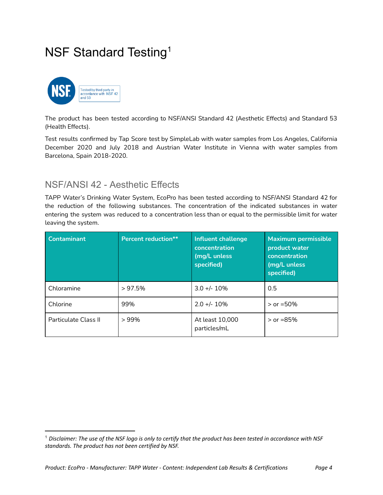## NSF Standard Testing<sup>1</sup>



The product has been tested according to NSF/ANSI Standard 42 (Aesthetic Effects) and Standard 53 (Health Effects).

Test results confirmed by Tap Score test by SimpleLab with water samples from Los Angeles, California December 2020 and July 2018 and Austrian Water Institute in Vienna with water samples from Barcelona, Spain 2018-2020.

### NSF/ANSI 42 - Aesthetic Effects

TAPP Water's Drinking Water System, EcoPro has been tested according to NSF/ANSI Standard 42 for the reduction of the following substances. The concentration of the indicated substances in water entering the system was reduced to a concentration less than or equal to the permissible limit for water leaving the system.

| <b>Contaminant</b>   | <b>Percent reduction**</b> | Influent challenge<br>concentration<br>(mg/L unless<br>specified) | <b>Maximum permissible</b><br>product water<br>concentration<br>(mg/L unless<br>specified) |
|----------------------|----------------------------|-------------------------------------------------------------------|--------------------------------------------------------------------------------------------|
| Chloramine           | $> 97.5\%$                 | $3.0 +/- 10%$                                                     | 0.5                                                                                        |
| Chlorine             | 99%                        | $2.0 +/- 10%$                                                     | $>$ or =50%                                                                                |
| Particulate Class II | $>99\%$                    | At least 10,000<br>particles/mL                                   | $>$ or =85%                                                                                |

<sup>&</sup>lt;sup>1</sup> Disclaimer: The use of the NSF logo is only to certify that the product has been tested in accordance with NSF *standards. The product has not been certified by NSF.*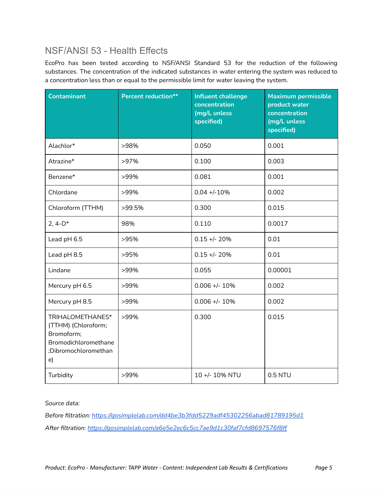### NSF/ANSI 53 - Health Effects

EcoPro has been tested according to NSF/ANSI Standard 53 for the reduction of the following substances. The concentration of the indicated substances in water entering the system was reduced to a concentration less than or equal to the permissible limit for water leaving the system.

| <b>Contaminant</b>                                                                                          | <b>Percent reduction**</b> | <b>Influent challenge</b><br>concentration<br>(mg/L unless<br>specified) | <b>Maximum permissible</b><br>product water<br>concentration<br>(mg/L unless<br>specified) |
|-------------------------------------------------------------------------------------------------------------|----------------------------|--------------------------------------------------------------------------|--------------------------------------------------------------------------------------------|
| Alachlor*                                                                                                   | >98%                       | 0.050                                                                    | 0.001                                                                                      |
| Atrazine*                                                                                                   | >97%                       | 0.100                                                                    | 0.003                                                                                      |
| Benzene*                                                                                                    | >99%                       | 0.081                                                                    | 0.001                                                                                      |
| Chlordane                                                                                                   | >99%                       | $0.04 + -10%$                                                            | 0.002                                                                                      |
| Chloroform (TTHM)                                                                                           | >99.5%                     | 0.300                                                                    | 0.015                                                                                      |
| $2, 4-D*$                                                                                                   | 98%                        | 0.110                                                                    | 0.0017                                                                                     |
| Lead pH 6.5                                                                                                 | >95%                       | $0.15 + - 20%$                                                           | 0.01                                                                                       |
| Lead pH 8.5                                                                                                 | >95%                       | $0.15 + - 20%$                                                           | 0.01                                                                                       |
| Lindane                                                                                                     | >99%                       | 0.055                                                                    | 0.00001                                                                                    |
| Mercury pH 6.5                                                                                              | >99%                       | $0.006 +/- 10%$                                                          | 0.002                                                                                      |
| Mercury pH 8.5                                                                                              | >99%                       | $0.006 +/- 10%$                                                          | 0.002                                                                                      |
| TRIHALOMETHANES*<br>(TTHM) (Chloroform;<br>Bromoform;<br>Bromodichloromethane<br>;Dibromochloromethan<br>e) | >99%                       | 0.300                                                                    | 0.015                                                                                      |
| Turbidity                                                                                                   | >99%                       | 10 +/- 10% NTU                                                           | 0.5 NTU                                                                                    |

*Source data:*

*Before filtration: <https://gosimplelab.com/dd4be3b3fdd5229adf45302256abad81789195d1> After filtration: <https://gosimplelab.com/a6e5e2ec6c5cc7ae9d1c30faf7cfd8697576f8ff>*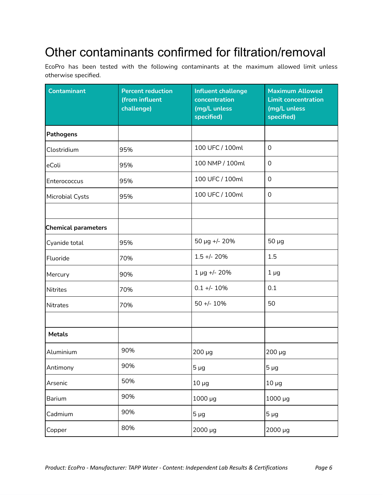# Other contaminants confirmed for filtration/removal

EcoPro has been tested with the following contaminants at the maximum allowed limit unless otherwise specified.

| <b>Contaminant</b>         | <b>Percent reduction</b><br>(from influent<br>challenge) | <b>Influent challenge</b><br>concentration<br>(mg/L unless<br>specified) | <b>Maximum Allowed</b><br><b>Limit concentration</b><br>(mg/L unless<br>specified) |
|----------------------------|----------------------------------------------------------|--------------------------------------------------------------------------|------------------------------------------------------------------------------------|
| <b>Pathogens</b>           |                                                          |                                                                          |                                                                                    |
| Clostridium                | 95%                                                      | 100 UFC / 100ml                                                          | $\Omega$                                                                           |
| eColi                      | 95%                                                      | 100 NMP / 100ml                                                          | $\mathbf 0$                                                                        |
| Enterococcus               | 95%                                                      | 100 UFC / 100ml                                                          | $\mathbf 0$                                                                        |
| Microbial Cysts            | 95%                                                      | 100 UFC / 100ml                                                          | 0                                                                                  |
|                            |                                                          |                                                                          |                                                                                    |
| <b>Chemical parameters</b> |                                                          |                                                                          |                                                                                    |
| Cyanide total              | 95%                                                      | 50 µg +/- 20%                                                            | $50 \mu g$                                                                         |
| Fluoride                   | 70%                                                      | $1.5 +/- 20%$                                                            | 1.5                                                                                |
| Mercury                    | 90%                                                      | $1 \mu g$ +/- 20%                                                        | $1\mug$                                                                            |
| Nitrites                   | 70%                                                      | $0.1 +/- 10%$                                                            | 0.1                                                                                |
| <b>Nitrates</b>            | 70%                                                      | $50 + - 10%$                                                             | 50                                                                                 |
|                            |                                                          |                                                                          |                                                                                    |
| <b>Metals</b>              |                                                          |                                                                          |                                                                                    |
| Aluminium                  | 90%                                                      | 200 µg                                                                   | 200 µg                                                                             |
| Antimony                   | 90%                                                      | $5\mug$                                                                  | $5 \mu g$                                                                          |
| Arsenic                    | 50%                                                      | $10 \mu g$                                                               | $10 \mu g$                                                                         |
| Barium                     | 90%                                                      | 1000 µg                                                                  | 1000 µg                                                                            |
| Cadmium                    | 90%                                                      | $5 \mu g$                                                                | $5 \mu g$                                                                          |
| Copper                     | 80%                                                      | 2000 µg                                                                  | 2000 µg                                                                            |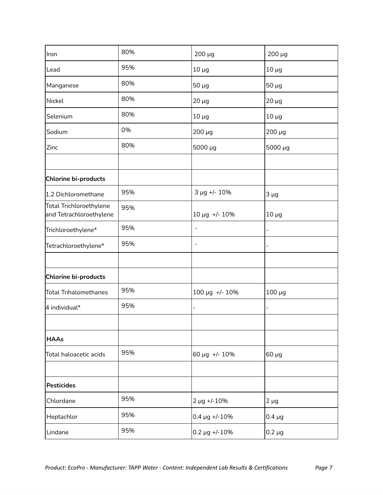| Iron                                                      | 80% | 200 µg                          | $200 \mu g$    |
|-----------------------------------------------------------|-----|---------------------------------|----------------|
| Lead                                                      | 95% | $10 \mu g$                      | $10 \mu g$     |
| Manganese                                                 | 80% | $50 \mu g$                      | $50 \mu g$     |
| Nickel                                                    | 80% | $20 \mu g$                      | $20 \mu g$     |
| Selenium                                                  | 80% | $10 \mu g$                      | $10 \mu g$     |
| Sodium                                                    | 0%  | 200 µg                          | 200 µg         |
| Zinc                                                      | 80% | 5000 µg                         | 5000 µg        |
|                                                           |     |                                 |                |
| Chlorine bi-products                                      |     |                                 |                |
| 1,2 Dichloromethane                                       | 95% | 3 µg +/- 10%                    | $3 \mu g$      |
| <b>Total Trichloroethylene</b><br>and Tetrachloroethylene | 95% | 10 µg +/- 10%                   | $10 \mu g$     |
| Trichloroethylene*                                        | 95% | $\blacksquare$                  |                |
| Tetrachloroethylene*                                      | 95% | $\overline{\phantom{a}}$        |                |
|                                                           |     |                                 |                |
| Chlorine bi-products                                      |     |                                 |                |
| <b>Total Trihalomethanes</b>                              | 95% | 100 µg +/- 10%                  | $100 \mu g$    |
| 4 individual*                                             | 95% | $\overline{a}$                  | $\blacksquare$ |
|                                                           |     |                                 |                |
| <b>HAAs</b>                                               |     |                                 |                |
| Total haloacetic acids                                    | 95% | 60 µg +/- 10%                   | 60 µg          |
|                                                           |     |                                 |                |
| <b>Pesticides</b>                                         |     |                                 |                |
| Chlordane                                                 | 95% | 2 µg +/-10%                     | $2 \mu g$      |
| Heptachlor                                                | 95% | $0.4 \,\mathrm{\upmu g}$ +/-10% | $0.4 \mu g$    |
| Lindane                                                   | 95% | $0.2 \,\mu g$ +/-10%            | $0.2 \mu g$    |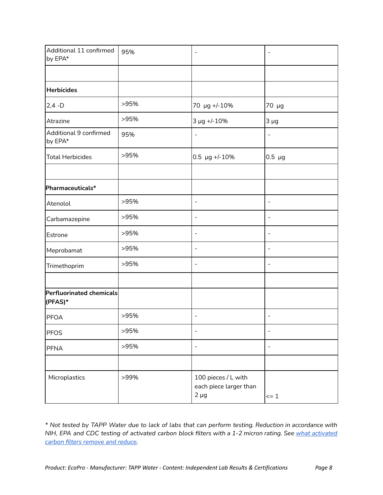| Additional 11 confirmed<br>by EPA*  | 95%  | $\overline{\phantom{a}}$                                   | $\blacksquare$           |
|-------------------------------------|------|------------------------------------------------------------|--------------------------|
|                                     |      |                                                            |                          |
| <b>Herbicides</b>                   |      |                                                            |                          |
| $2,4 - D$                           | >95% | 70 µg +/-10%                                               | 70 µg                    |
| Atrazine                            | >95% | 3 µg +/-10%                                                | $3 \mu g$                |
| Additional 9 confirmed<br>by EPA*   | 95%  | $\blacksquare$                                             | $\overline{\phantom{a}}$ |
| <b>Total Herbicides</b>             | >95% | $0.5 \text{ µg}$ +/-10%                                    | $0.5 \mu g$              |
|                                     |      |                                                            |                          |
| Pharmaceuticals*                    |      |                                                            |                          |
| Atenolol                            | >95% | $\overline{\phantom{a}}$                                   | $\overline{\phantom{a}}$ |
| Carbamazepine                       | >95% | $\overline{\phantom{a}}$                                   | $\blacksquare$           |
| Estrone                             | >95% | $\overline{\phantom{a}}$                                   | $\blacksquare$           |
| Meprobamat                          | >95% | $\overline{\phantom{a}}$                                   | $\blacksquare$           |
| Trimethoprim                        | >95% | $\overline{\phantom{a}}$                                   | $\blacksquare$           |
|                                     |      |                                                            |                          |
| Perfluorinated chemicals<br>(PFAS)* |      |                                                            |                          |
| <b>PFOA</b>                         | >95% | $\blacksquare$                                             | $\overline{\phantom{a}}$ |
| <b>PFOS</b>                         | >95% | $\overline{\phantom{a}}$                                   | $\overline{\phantom{a}}$ |
| <b>PFNA</b>                         | >95% | $\overline{\phantom{a}}$                                   | $\blacksquare$           |
|                                     |      |                                                            |                          |
| Microplastics                       | >99% | 100 pieces / L with<br>each piece larger than<br>$2 \mu g$ | $\leq$ 1                 |

\* Not tested by TAPP Water due to lack of labs that can perform testing. Reduction in accordance with NIH, EPA and CDC testing of [activated](https://tappwater.co/en/what-activated-carbon-filters-remove/) carbon block filters with a 1-2 micron rating. See what activated *carbon filters [remove](https://tappwater.co/en/what-activated-carbon-filters-remove/) and reduce.*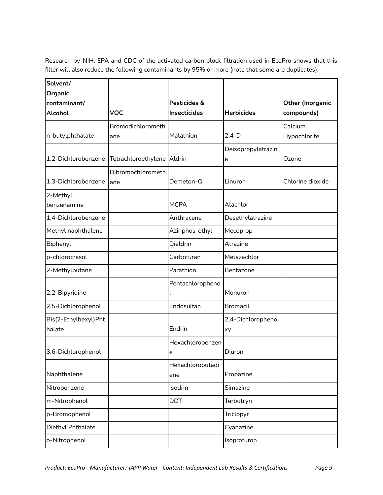Research by NIH, EPA and CDC of the activated carbon block filtration used in EcoPro shows that this filter will also reduce the following contaminants by 95% or more (note that some are duplicates):

| Solvent/                       |                            |                                     |                    |                                       |
|--------------------------------|----------------------------|-------------------------------------|--------------------|---------------------------------------|
| Organic                        |                            |                                     |                    |                                       |
| contaminant/<br><b>Alcohol</b> | <b>VOC</b>                 | Pesticides &<br><b>Insecticides</b> | <b>Herbicides</b>  | <b>Other (Inorganic</b><br>compounds) |
|                                |                            |                                     |                    |                                       |
| n-butylphthalate               | Bromodichlorometh          | Malathion                           | $2,4-D$            | Calcium                               |
|                                | ane                        |                                     |                    | Hypochlorite                          |
| 1,2-Dichlorobenzene            | Tetrachloroethylene Aldrin |                                     | Deisopropylatrazin | Ozone                                 |
|                                |                            |                                     | e                  |                                       |
|                                | Dibromochlorometh          |                                     |                    |                                       |
| 1,3-Dichlorobenzene            | ane                        | Demeton-O                           | Linuron            | Chlorine dioxide                      |
| 2-Methyl                       |                            |                                     |                    |                                       |
| benzenamine                    |                            | <b>MCPA</b>                         | Alachlor           |                                       |
| 1,4-Dichlorobenzene            |                            | Anthracene                          | Desethylatrazine   |                                       |
| Methyl naphthalene             |                            | Azinphos-ethyl                      | Mecoprop           |                                       |
| Biphenyl                       |                            | Dieldrin                            | Atrazine           |                                       |
| p-chlorocresol                 |                            | Carbofuran                          | Metazachlor        |                                       |
| 2-Methylbutane                 |                            | Parathion                           | Bentazone          |                                       |
|                                |                            | Pentachloropheno                    |                    |                                       |
| 2,2-Bipyridine                 |                            |                                     | Monuron            |                                       |
| 2,5-Dichlorophenol             |                            | Endosulfan                          | <b>Bromacil</b>    |                                       |
| Bis(2-Ethylhexyl)Pht           |                            |                                     | 2,4-Dichloropheno  |                                       |
| halate                         |                            | Endrin                              | xy                 |                                       |
|                                |                            | Hexachlorobenzen                    |                    |                                       |
| 3,6-Dichlorophenol             |                            | е                                   | Diuron             |                                       |
|                                |                            | Hexachlorobutadi                    |                    |                                       |
| Naphthalene                    |                            | ene                                 | Propazine          |                                       |
| Nitrobenzene                   |                            | Isodrin                             | Simazine           |                                       |
| m-Nitrophenol                  |                            | <b>DDT</b>                          | Terbutryn          |                                       |
| p-Bromophenol                  |                            |                                     | Triclopyr          |                                       |
| Diethyl Phthalate              |                            |                                     | Cyanazine          |                                       |
| o-Nitrophenol                  |                            |                                     | Isoproturon        |                                       |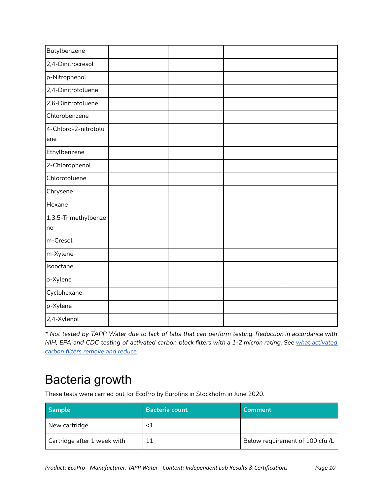| Butylbenzene                |  |  |
|-----------------------------|--|--|
| 2,4-Dinitrocresol           |  |  |
| p-Nitrophenol               |  |  |
| 2,4-Dinitrotoluene          |  |  |
| 2,6-Dinitrotoluene          |  |  |
| Chlorobenzene               |  |  |
| 4-Chloro-2-nitrotolu<br>ene |  |  |
| Ethylbenzene                |  |  |
| 2-Chlorophenol              |  |  |
| Chlorotoluene               |  |  |
| Chrysene                    |  |  |
| Hexane                      |  |  |
| 1,3,5-Trimethylbenze<br>ne  |  |  |
| m-Cresol                    |  |  |
| m-Xylene                    |  |  |
| Isooctane                   |  |  |
| o-Xylene                    |  |  |
| Cyclohexane                 |  |  |
| p-Xylene                    |  |  |
| 2,4-Xylenol                 |  |  |

\* Not tested by TAPP Water due to lack of labs that can perform testing. Reduction in accordance with NIH, EPA and CDC testing of [activated](https://tappwater.co/en/what-activated-carbon-filters-remove/) carbon block filters with a 1-2 micron rating. See what activated *carbon filters [remove](https://tappwater.co/en/what-activated-carbon-filters-remove/) and reduce.*

### Bacteria growth

These tests were carried out for EcoPro by Eurofins in Stockholm in June 2020.

| <b>Sample</b>               | <b>Bacteria count</b> | <b>Comment</b>                  |
|-----------------------------|-----------------------|---------------------------------|
| New cartridge               | $<$ 1                 |                                 |
| Cartridge after 1 week with |                       | Below requirement of 100 cfu /L |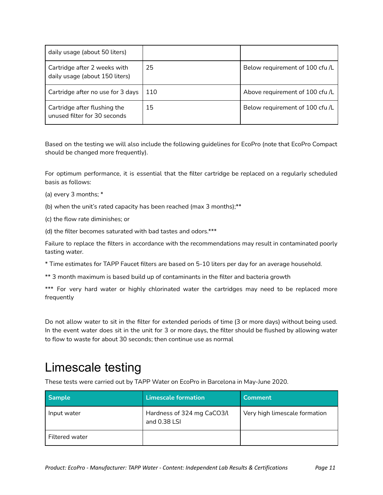| daily usage (about 50 liters)                                  |     |                                 |
|----------------------------------------------------------------|-----|---------------------------------|
| Cartridge after 2 weeks with<br>daily usage (about 150 liters) | 25  | Below requirement of 100 cfu /L |
| Cartridge after no use for 3 days                              | 110 | Above requirement of 100 cfu /L |
| Cartridge after flushing the<br>unused filter for 30 seconds   | 15  | Below requirement of 100 cfu /L |

Based on the testing we will also include the following guidelines for EcoPro (note that EcoPro Compact should be changed more frequently).

For optimum performance, it is essential that the filter cartridge be replaced on a regularly scheduled basis as follows:

- (a) every 3 months; \*
- (b) when the unit's rated capacity has been reached (max 3 months);\*\*
- (c) the flow rate diminishes; or
- (d) the filter becomes saturated with bad tastes and odors.\*\*\*

Failure to replace the filters in accordance with the recommendations may result in contaminated poorly tasting water.

- \* Time estimates for TAPP Faucet filters are based on 5-10 liters per day for an average household.
- \*\* 3 month maximum is based build up of contaminants in the filter and bacteria growth

\*\*\* For very hard water or highly chlorinated water the cartridges may need to be replaced more frequently

Do not allow water to sit in the filter for extended periods of time (3 or more days) without being used. In the event water does sit in the unit for 3 or more days, the filter should be flushed by allowing water to flow to waste for about 30 seconds; then continue use as normal

### Limescale testing

These tests were carried out by TAPP Water on EcoPro in Barcelona in May-June 2020.

| <b>Sample</b>         | <b>Limescale formation</b>                 | Comment                       |
|-----------------------|--------------------------------------------|-------------------------------|
| Input water           | Hardness of 324 mg CaCO3/L<br>and 0.38 LSI | Very high limescale formation |
| <b>Filtered water</b> |                                            |                               |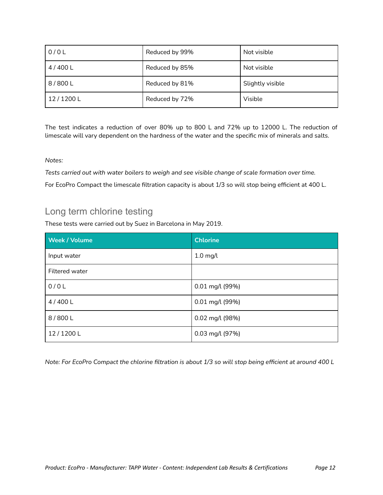| 0/0L     | Reduced by 99% | Not visible      |
|----------|----------------|------------------|
| 4/400 L  | Reduced by 85% | Not visible      |
| 8/800L   | Reduced by 81% | Slightly visible |
| 12/1200L | Reduced by 72% | Visible          |

The test indicates a reduction of over 80% up to 800 L and 72% up to 12000 L. The reduction of limescale will vary dependent on the hardness of the water and the specific mix of minerals and salts.

#### *Notes:*

*Tests carried out with water boilers to weigh and see visible change of scale formation over time.* For EcoPro Compact the limescale filtration capacity is about 1/3 so will stop being efficient at 400 L.

### Long term chlorine testing

These tests were carried out by Suez in Barcelona in May 2019.

| <b>Week / Volume</b> | <b>Chlorine</b> |
|----------------------|-----------------|
| Input water          | $1.0$ mg/l      |
| Filtered water       |                 |
| 0/0L                 | 0.01 mg/l (99%) |
| 4/400 L              | 0.01 mg/l (99%) |
| 8/800L               | 0.02 mg/l (98%) |
| 12/1200L             | 0.03 mg/l (97%) |

Note: For EcoPro Compact the chlorine filtration is about 1/3 so will stop being efficient at around 400 L